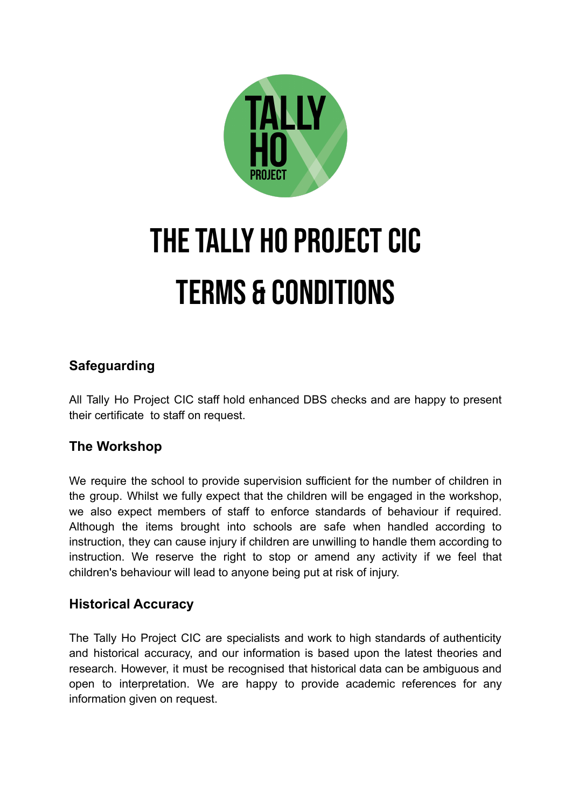

# THE TALLY HO PROJECT CIC Terms & Conditions

# **Safeguarding**

All Tally Ho Project CIC staff hold enhanced DBS checks and are happy to present their certificate to staff on request.

# **The Workshop**

We require the school to provide supervision sufficient for the number of children in the group. Whilst we fully expect that the children will be engaged in the workshop, we also expect members of staff to enforce standards of behaviour if required. Although the items brought into schools are safe when handled according to instruction, they can cause injury if children are unwilling to handle them according to instruction. We reserve the right to stop or amend any activity if we feel that children's behaviour will lead to anyone being put at risk of injury.

## **Historical Accuracy**

The Tally Ho Project CIC are specialists and work to high standards of authenticity and historical accuracy, and our information is based upon the latest theories and research. However, it must be recognised that historical data can be ambiguous and open to interpretation. We are happy to provide academic references for any information given on request.